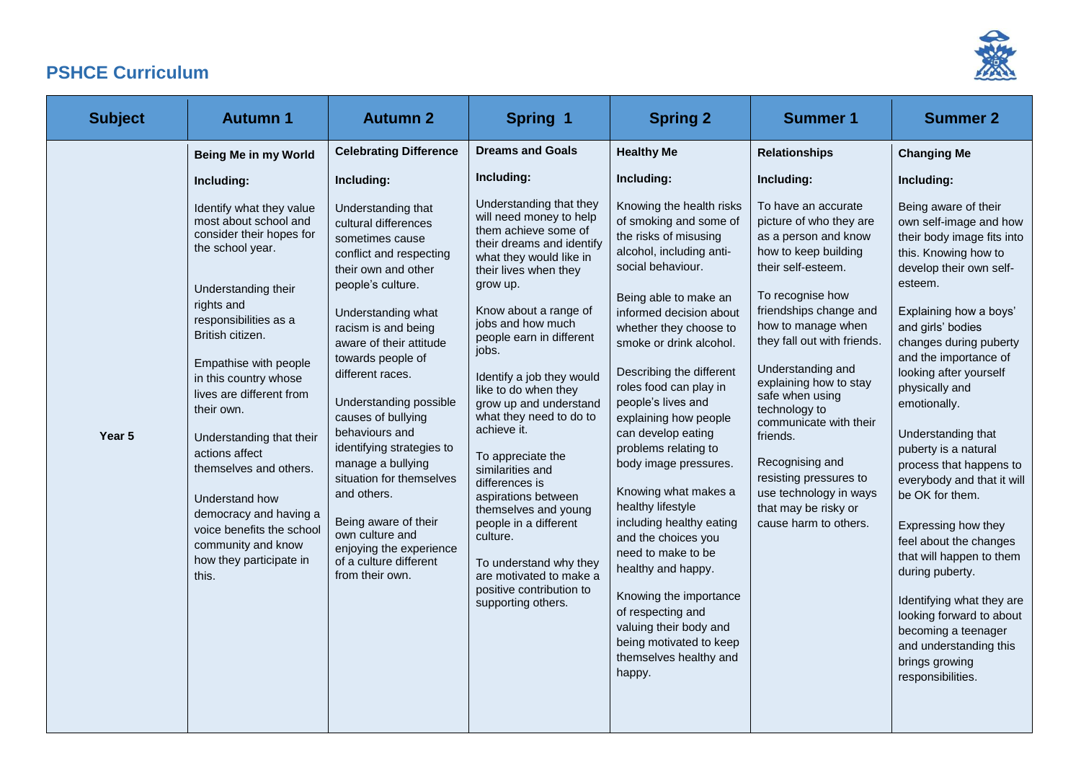

## **PSHCE Curriculum**

| <b>Subject</b> | <b>Autumn 1</b>                                                                                                                                                                                                                                                                                                                                                                                                                                                                                                                  | <b>Autumn 2</b>                                                                                                                                                                                                                                                                                                                                                                                                                                                                                                                                                                        | Spring 1                                                                                                                                                                                                                                                                                                                                                                                                                                                                                                                                                                                                                                                     | <b>Spring 2</b>                                                                                                                                                                                                                                                                                                                                                                                                                                                                                                                                                                                                            | <b>Summer 1</b>                                                                                                                                                                                                                                                                                                                                                                                                                                                                                                | <b>Summer 2</b>                                                                                                                                                                                                                                                                                                                                                                                                                                                                                                                                                                                     |
|----------------|----------------------------------------------------------------------------------------------------------------------------------------------------------------------------------------------------------------------------------------------------------------------------------------------------------------------------------------------------------------------------------------------------------------------------------------------------------------------------------------------------------------------------------|----------------------------------------------------------------------------------------------------------------------------------------------------------------------------------------------------------------------------------------------------------------------------------------------------------------------------------------------------------------------------------------------------------------------------------------------------------------------------------------------------------------------------------------------------------------------------------------|--------------------------------------------------------------------------------------------------------------------------------------------------------------------------------------------------------------------------------------------------------------------------------------------------------------------------------------------------------------------------------------------------------------------------------------------------------------------------------------------------------------------------------------------------------------------------------------------------------------------------------------------------------------|----------------------------------------------------------------------------------------------------------------------------------------------------------------------------------------------------------------------------------------------------------------------------------------------------------------------------------------------------------------------------------------------------------------------------------------------------------------------------------------------------------------------------------------------------------------------------------------------------------------------------|----------------------------------------------------------------------------------------------------------------------------------------------------------------------------------------------------------------------------------------------------------------------------------------------------------------------------------------------------------------------------------------------------------------------------------------------------------------------------------------------------------------|-----------------------------------------------------------------------------------------------------------------------------------------------------------------------------------------------------------------------------------------------------------------------------------------------------------------------------------------------------------------------------------------------------------------------------------------------------------------------------------------------------------------------------------------------------------------------------------------------------|
| Year 5         | Being Me in my World<br>Including:<br>Identify what they value<br>most about school and<br>consider their hopes for<br>the school year.<br>Understanding their<br>rights and<br>responsibilities as a<br>British citizen.<br>Empathise with people<br>in this country whose<br>lives are different from<br>their own.<br>Understanding that their<br>actions affect<br>themselves and others.<br>Understand how<br>democracy and having a<br>voice benefits the school<br>community and know<br>how they participate in<br>this. | <b>Celebrating Difference</b><br>Including:<br>Understanding that<br>cultural differences<br>sometimes cause<br>conflict and respecting<br>their own and other<br>people's culture.<br>Understanding what<br>racism is and being<br>aware of their attitude<br>towards people of<br>different races.<br>Understanding possible<br>causes of bullying<br>behaviours and<br>identifying strategies to<br>manage a bullying<br>situation for themselves<br>and others.<br>Being aware of their<br>own culture and<br>enjoying the experience<br>of a culture different<br>from their own. | <b>Dreams and Goals</b><br>Including:<br>Understanding that they<br>will need money to help<br>them achieve some of<br>their dreams and identify<br>what they would like in<br>their lives when they<br>grow up.<br>Know about a range of<br>jobs and how much<br>people earn in different<br>jobs.<br>Identify a job they would<br>like to do when they<br>grow up and understand<br>what they need to do to<br>achieve it.<br>To appreciate the<br>similarities and<br>differences is<br>aspirations between<br>themselves and young<br>people in a different<br>culture.<br>To understand why they<br>are motivated to make a<br>positive contribution to | <b>Healthy Me</b><br>Including:<br>Knowing the health risks<br>of smoking and some of<br>the risks of misusing<br>alcohol, including anti-<br>social behaviour.<br>Being able to make an<br>informed decision about<br>whether they choose to<br>smoke or drink alcohol.<br>Describing the different<br>roles food can play in<br>people's lives and<br>explaining how people<br>can develop eating<br>problems relating to<br>body image pressures.<br>Knowing what makes a<br>healthy lifestyle<br>including healthy eating<br>and the choices you<br>need to make to be<br>healthy and happy.<br>Knowing the importance | <b>Relationships</b><br>Including:<br>To have an accurate<br>picture of who they are<br>as a person and know<br>how to keep building<br>their self-esteem.<br>To recognise how<br>friendships change and<br>how to manage when<br>they fall out with friends.<br>Understanding and<br>explaining how to stay<br>safe when using<br>technology to<br>communicate with their<br>friends.<br>Recognising and<br>resisting pressures to<br>use technology in ways<br>that may be risky or<br>cause harm to others. | <b>Changing Me</b><br>Including:<br>Being aware of their<br>own self-image and how<br>their body image fits into<br>this. Knowing how to<br>develop their own self-<br>esteem.<br>Explaining how a boys'<br>and girls' bodies<br>changes during puberty<br>and the importance of<br>looking after yourself<br>physically and<br>emotionally.<br>Understanding that<br>puberty is a natural<br>process that happens to<br>everybody and that it will<br>be OK for them.<br>Expressing how they<br>feel about the changes<br>that will happen to them<br>during puberty.<br>Identifying what they are |
|                |                                                                                                                                                                                                                                                                                                                                                                                                                                                                                                                                  |                                                                                                                                                                                                                                                                                                                                                                                                                                                                                                                                                                                        | supporting others.                                                                                                                                                                                                                                                                                                                                                                                                                                                                                                                                                                                                                                           | of respecting and<br>valuing their body and<br>being motivated to keep<br>themselves healthy and<br>happy.                                                                                                                                                                                                                                                                                                                                                                                                                                                                                                                 |                                                                                                                                                                                                                                                                                                                                                                                                                                                                                                                | looking forward to about<br>becoming a teenager<br>and understanding this<br>brings growing<br>responsibilities.                                                                                                                                                                                                                                                                                                                                                                                                                                                                                    |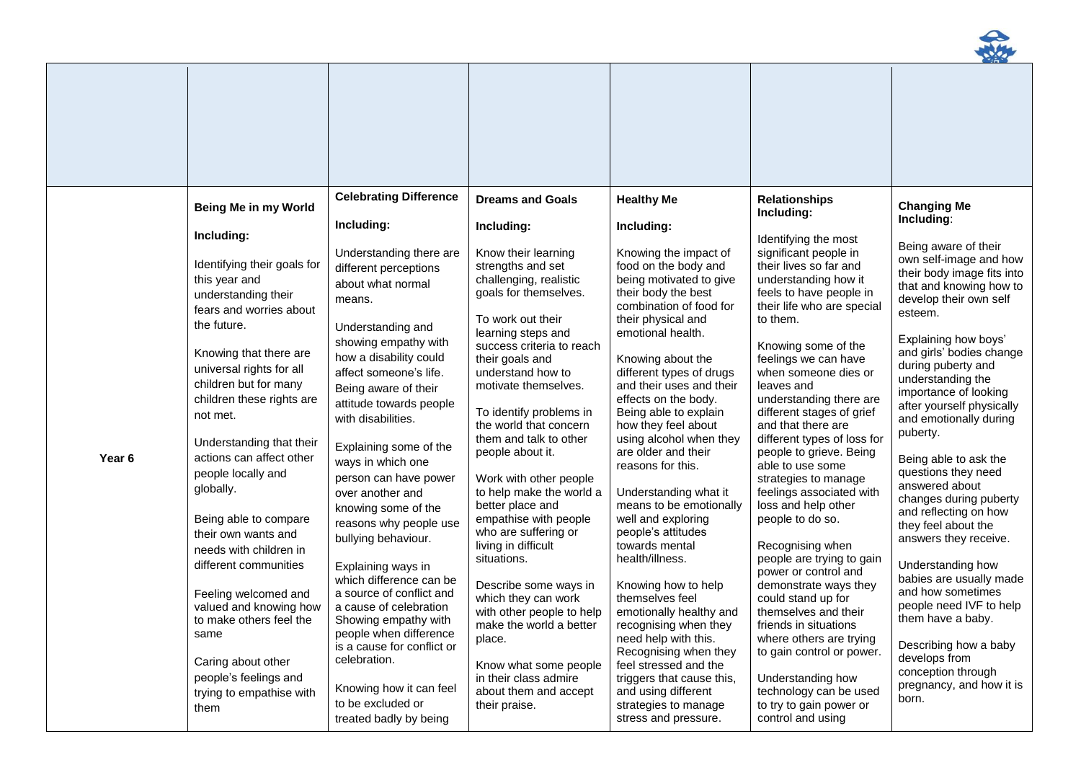

|        | Being Me in my World                                                                                                                                                                                                                                                                                                                                                                                                                              | <b>Celebrating Difference</b>                                                                                                                                                                                                                                                                                                                                                                                                                                                                | <b>Dreams and Goals</b>                                                                                                                                                                                                                                                                                                                                                                                                                                                                                                                        | <b>Healthy Me</b>                                                                                                                                                                                                                                                                                                                                                                                                                                                                                                                                                           | <b>Relationships</b><br>Including:                                                                                                                                                                                                                                                                                                                                                                                                                                                                                                                                                                                     | <b>Changing Me</b>                                                                                                                                                                                                                                                                                                                                                                                                                                                                                                                                                         |
|--------|---------------------------------------------------------------------------------------------------------------------------------------------------------------------------------------------------------------------------------------------------------------------------------------------------------------------------------------------------------------------------------------------------------------------------------------------------|----------------------------------------------------------------------------------------------------------------------------------------------------------------------------------------------------------------------------------------------------------------------------------------------------------------------------------------------------------------------------------------------------------------------------------------------------------------------------------------------|------------------------------------------------------------------------------------------------------------------------------------------------------------------------------------------------------------------------------------------------------------------------------------------------------------------------------------------------------------------------------------------------------------------------------------------------------------------------------------------------------------------------------------------------|-----------------------------------------------------------------------------------------------------------------------------------------------------------------------------------------------------------------------------------------------------------------------------------------------------------------------------------------------------------------------------------------------------------------------------------------------------------------------------------------------------------------------------------------------------------------------------|------------------------------------------------------------------------------------------------------------------------------------------------------------------------------------------------------------------------------------------------------------------------------------------------------------------------------------------------------------------------------------------------------------------------------------------------------------------------------------------------------------------------------------------------------------------------------------------------------------------------|----------------------------------------------------------------------------------------------------------------------------------------------------------------------------------------------------------------------------------------------------------------------------------------------------------------------------------------------------------------------------------------------------------------------------------------------------------------------------------------------------------------------------------------------------------------------------|
| Year 6 | Including:<br>Identifying their goals for<br>this year and<br>understanding their<br>fears and worries about<br>the future.<br>Knowing that there are<br>universal rights for all<br>children but for many<br>children these rights are<br>not met.<br>Understanding that their<br>actions can affect other<br>people locally and<br>globally.<br>Being able to compare<br>their own wants and<br>needs with children in<br>different communities | Including:<br>Understanding there are<br>different perceptions<br>about what normal<br>means.<br>Understanding and<br>showing empathy with<br>how a disability could<br>affect someone's life.<br>Being aware of their<br>attitude towards people<br>with disabilities.<br>Explaining some of the<br>ways in which one<br>person can have power<br>over another and<br>knowing some of the<br>reasons why people use<br>bullying behaviour.<br>Explaining ways in<br>which difference can be | Including:<br>Know their learning<br>strengths and set<br>challenging, realistic<br>goals for themselves.<br>To work out their<br>learning steps and<br>success criteria to reach<br>their goals and<br>understand how to<br>motivate themselves.<br>To identify problems in<br>the world that concern<br>them and talk to other<br>people about it.<br>Work with other people<br>to help make the world a<br>better place and<br>empathise with people<br>who are suffering or<br>living in difficult<br>situations.<br>Describe some ways in | Including:<br>Knowing the impact of<br>food on the body and<br>being motivated to give<br>their body the best<br>combination of food for<br>their physical and<br>emotional health.<br>Knowing about the<br>different types of drugs<br>and their uses and their<br>effects on the body.<br>Being able to explain<br>how they feel about<br>using alcohol when they<br>are older and their<br>reasons for this.<br>Understanding what it<br>means to be emotionally<br>well and exploring<br>people's attitudes<br>towards mental<br>health/illness.<br>Knowing how to help | Identifying the most<br>significant people in<br>their lives so far and<br>understanding how it<br>feels to have people in<br>their life who are special<br>to them.<br>Knowing some of the<br>feelings we can have<br>when someone dies or<br>leaves and<br>understanding there are<br>different stages of grief<br>and that there are<br>different types of loss for<br>people to grieve. Being<br>able to use some<br>strategies to manage<br>feelings associated with<br>loss and help other<br>people to do so.<br>Recognising when<br>people are trying to gain<br>power or control and<br>demonstrate ways they | Including:<br>Being aware of their<br>own self-image and how<br>their body image fits into<br>that and knowing how to<br>develop their own self<br>esteem.<br>Explaining how boys'<br>and girls' bodies change<br>during puberty and<br>understanding the<br>importance of looking<br>after yourself physically<br>and emotionally during<br>puberty.<br>Being able to ask the<br>questions they need<br>answered about<br>changes during puberty<br>and reflecting on how<br>they feel about the<br>answers they receive.<br>Understanding how<br>babies are usually made |
|        | Feeling welcomed and<br>valued and knowing how<br>to make others feel the<br>same<br>Caring about other<br>people's feelings and<br>trying to empathise with<br>them                                                                                                                                                                                                                                                                              | a source of conflict and<br>a cause of celebration<br>Showing empathy with<br>people when difference<br>is a cause for conflict or<br>celebration.<br>Knowing how it can feel<br>to be excluded or<br>treated badly by being                                                                                                                                                                                                                                                                 | which they can work<br>with other people to help<br>make the world a better<br>place.<br>Know what some people<br>in their class admire<br>about them and accept<br>their praise.                                                                                                                                                                                                                                                                                                                                                              | themselves feel<br>emotionally healthy and<br>recognising when they<br>need help with this.<br>Recognising when they<br>feel stressed and the<br>triggers that cause this,<br>and using different<br>strategies to manage<br>stress and pressure.                                                                                                                                                                                                                                                                                                                           | could stand up for<br>themselves and their<br>friends in situations<br>where others are trying<br>to gain control or power.<br>Understanding how<br>technology can be used<br>to try to gain power or<br>control and using                                                                                                                                                                                                                                                                                                                                                                                             | and how sometimes<br>people need IVF to help<br>them have a baby.<br>Describing how a baby<br>develops from<br>conception through<br>pregnancy, and how it is<br>born.                                                                                                                                                                                                                                                                                                                                                                                                     |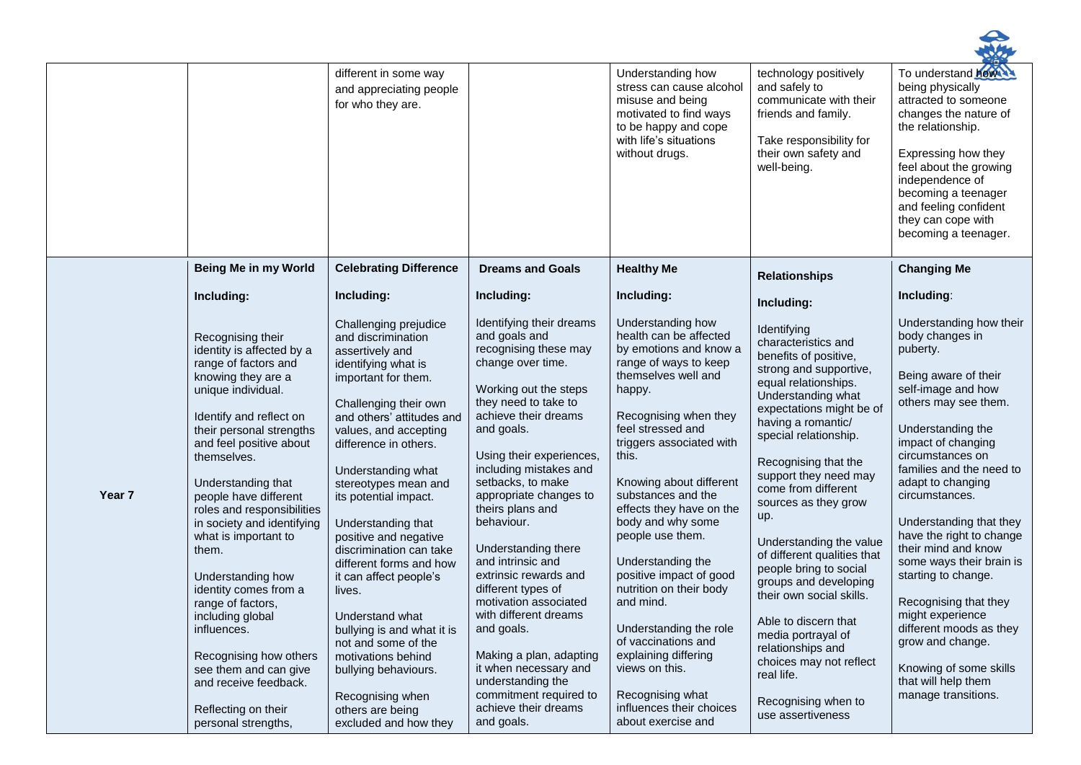|        |                                                                                                                                                                                                                                                                                                                                                                                                                                                                                                                                                                                                 | different in some way<br>and appreciating people<br>for who they are.                                                                                                                                                                                                                                                                                                                                                                                                                                                                                                                                                       |                                                                                                                                                                                                                                                                                                                                                                                                                                                                                                                                                                                                                           | Understanding how<br>stress can cause alcohol<br>misuse and being<br>motivated to find ways<br>to be happy and cope<br>with life's situations<br>without drugs.                                                                                                                                                                                                                                                                                                                                                                                                                                   | technology positively<br>and safely to<br>communicate with their<br>friends and family.<br>Take responsibility for<br>their own safety and<br>well-being.                                                                                                                                                                                                                                                                                                                                                                                                                                                              | To understand how<br>being physically<br>attracted to someone<br>changes the nature of<br>the relationship.<br>Expressing how they<br>feel about the growing<br>independence of<br>becoming a teenager<br>and feeling confident<br>they can cope with<br>becoming a teenager.                                                                                                                                                                                                                                                                                       |
|--------|-------------------------------------------------------------------------------------------------------------------------------------------------------------------------------------------------------------------------------------------------------------------------------------------------------------------------------------------------------------------------------------------------------------------------------------------------------------------------------------------------------------------------------------------------------------------------------------------------|-----------------------------------------------------------------------------------------------------------------------------------------------------------------------------------------------------------------------------------------------------------------------------------------------------------------------------------------------------------------------------------------------------------------------------------------------------------------------------------------------------------------------------------------------------------------------------------------------------------------------------|---------------------------------------------------------------------------------------------------------------------------------------------------------------------------------------------------------------------------------------------------------------------------------------------------------------------------------------------------------------------------------------------------------------------------------------------------------------------------------------------------------------------------------------------------------------------------------------------------------------------------|---------------------------------------------------------------------------------------------------------------------------------------------------------------------------------------------------------------------------------------------------------------------------------------------------------------------------------------------------------------------------------------------------------------------------------------------------------------------------------------------------------------------------------------------------------------------------------------------------|------------------------------------------------------------------------------------------------------------------------------------------------------------------------------------------------------------------------------------------------------------------------------------------------------------------------------------------------------------------------------------------------------------------------------------------------------------------------------------------------------------------------------------------------------------------------------------------------------------------------|---------------------------------------------------------------------------------------------------------------------------------------------------------------------------------------------------------------------------------------------------------------------------------------------------------------------------------------------------------------------------------------------------------------------------------------------------------------------------------------------------------------------------------------------------------------------|
|        | Being Me in my World                                                                                                                                                                                                                                                                                                                                                                                                                                                                                                                                                                            | <b>Celebrating Difference</b>                                                                                                                                                                                                                                                                                                                                                                                                                                                                                                                                                                                               | <b>Dreams and Goals</b>                                                                                                                                                                                                                                                                                                                                                                                                                                                                                                                                                                                                   | <b>Healthy Me</b>                                                                                                                                                                                                                                                                                                                                                                                                                                                                                                                                                                                 | <b>Relationships</b>                                                                                                                                                                                                                                                                                                                                                                                                                                                                                                                                                                                                   | <b>Changing Me</b>                                                                                                                                                                                                                                                                                                                                                                                                                                                                                                                                                  |
|        | Including:                                                                                                                                                                                                                                                                                                                                                                                                                                                                                                                                                                                      | Including:                                                                                                                                                                                                                                                                                                                                                                                                                                                                                                                                                                                                                  | Including:                                                                                                                                                                                                                                                                                                                                                                                                                                                                                                                                                                                                                | Including:                                                                                                                                                                                                                                                                                                                                                                                                                                                                                                                                                                                        | Including:                                                                                                                                                                                                                                                                                                                                                                                                                                                                                                                                                                                                             | Including:                                                                                                                                                                                                                                                                                                                                                                                                                                                                                                                                                          |
| Year 7 | Recognising their<br>identity is affected by a<br>range of factors and<br>knowing they are a<br>unique individual.<br>Identify and reflect on<br>their personal strengths<br>and feel positive about<br>themselves.<br>Understanding that<br>people have different<br>roles and responsibilities<br>in society and identifying<br>what is important to<br>them.<br>Understanding how<br>identity comes from a<br>range of factors,<br>including global<br>influences.<br>Recognising how others<br>see them and can give<br>and receive feedback.<br>Reflecting on their<br>personal strengths, | Challenging prejudice<br>and discrimination<br>assertively and<br>identifying what is<br>important for them.<br>Challenging their own<br>and others' attitudes and<br>values, and accepting<br>difference in others.<br>Understanding what<br>stereotypes mean and<br>its potential impact.<br>Understanding that<br>positive and negative<br>discrimination can take<br>different forms and how<br>it can affect people's<br>lives.<br>Understand what<br>bullying is and what it is<br>not and some of the<br>motivations behind<br>bullying behaviours.<br>Recognising when<br>others are being<br>excluded and how they | Identifying their dreams<br>and goals and<br>recognising these may<br>change over time.<br>Working out the steps<br>they need to take to<br>achieve their dreams<br>and goals.<br>Using their experiences,<br>including mistakes and<br>setbacks, to make<br>appropriate changes to<br>theirs plans and<br>behaviour.<br>Understanding there<br>and intrinsic and<br>extrinsic rewards and<br>different types of<br>motivation associated<br>with different dreams<br>and goals.<br>Making a plan, adapting<br>it when necessary and<br>understanding the<br>commitment required to<br>achieve their dreams<br>and goals. | Understanding how<br>health can be affected<br>by emotions and know a<br>range of ways to keep<br>themselves well and<br>happy.<br>Recognising when they<br>feel stressed and<br>triggers associated with<br>this.<br>Knowing about different<br>substances and the<br>effects they have on the<br>body and why some<br>people use them.<br>Understanding the<br>positive impact of good<br>nutrition on their body<br>and mind.<br>Understanding the role<br>of vaccinations and<br>explaining differing<br>views on this.<br>Recognising what<br>influences their choices<br>about exercise and | Identifying<br>characteristics and<br>benefits of positive,<br>strong and supportive,<br>equal relationships.<br>Understanding what<br>expectations might be of<br>having a romantic/<br>special relationship.<br>Recognising that the<br>support they need may<br>come from different<br>sources as they grow<br>up.<br>Understanding the value<br>of different qualities that<br>people bring to social<br>groups and developing<br>their own social skills.<br>Able to discern that<br>media portrayal of<br>relationships and<br>choices may not reflect<br>real life.<br>Recognising when to<br>use assertiveness | Understanding how their<br>body changes in<br>puberty.<br>Being aware of their<br>self-image and how<br>others may see them.<br>Understanding the<br>impact of changing<br>circumstances on<br>families and the need to<br>adapt to changing<br>circumstances.<br>Understanding that they<br>have the right to change<br>their mind and know<br>some ways their brain is<br>starting to change.<br>Recognising that they<br>might experience<br>different moods as they<br>grow and change.<br>Knowing of some skills<br>that will help them<br>manage transitions. |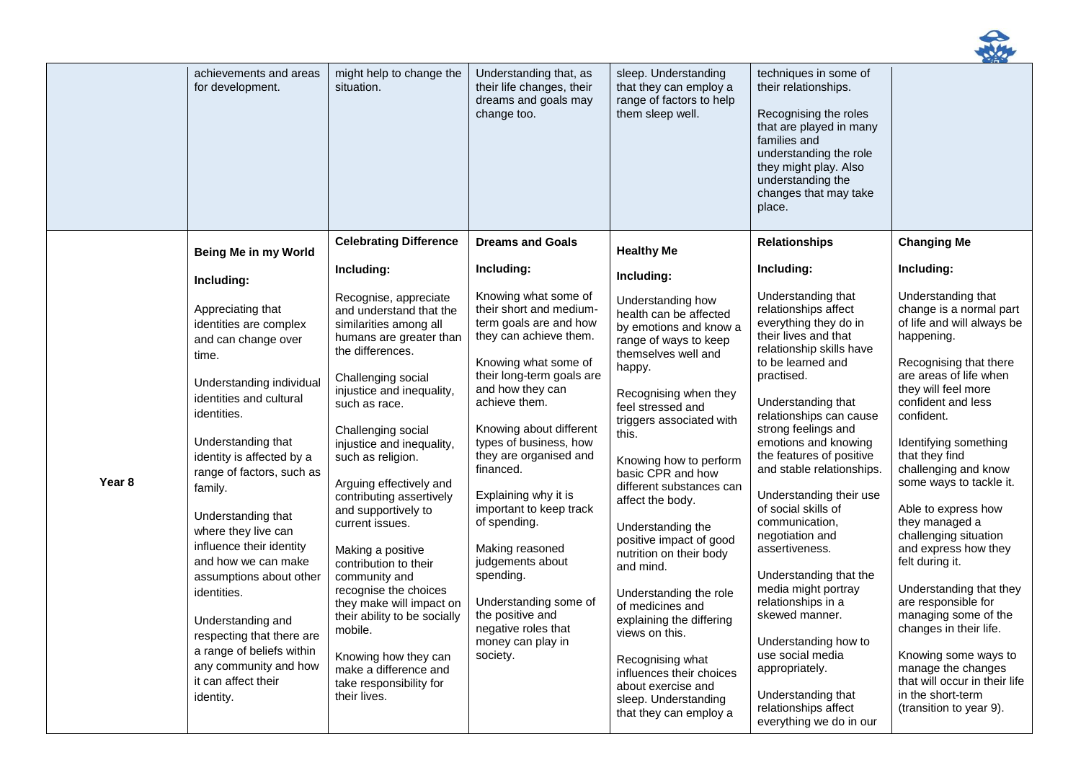

|        | achievements and areas<br>for development.                                                                                                                                                                                                                                                                                                                                                                                                                                                                                         | might help to change the<br>situation.                                                                                                                                                                                                                                                                                                                                                                                                                                                                                                                                                                                            | Understanding that, as<br>their life changes, their<br>dreams and goals may<br>change too.                                                                                                                                                                                                                                                                                                                                                                                                                            | sleep. Understanding<br>that they can employ a<br>range of factors to help<br>them sleep well.                                                                                                                                                                                                                                                                                                                                                                                                                                                                                                                                | techniques in some of<br>their relationships.<br>Recognising the roles<br>that are played in many<br>families and<br>understanding the role<br>they might play. Also<br>understanding the<br>changes that may take<br>place.                                                                                                                                                                                                                                                                                                                                                                                                                                 |                                                                                                                                                                                                                                                                                                                                                                                                                                                                                                                                                                                                                                                        |
|--------|------------------------------------------------------------------------------------------------------------------------------------------------------------------------------------------------------------------------------------------------------------------------------------------------------------------------------------------------------------------------------------------------------------------------------------------------------------------------------------------------------------------------------------|-----------------------------------------------------------------------------------------------------------------------------------------------------------------------------------------------------------------------------------------------------------------------------------------------------------------------------------------------------------------------------------------------------------------------------------------------------------------------------------------------------------------------------------------------------------------------------------------------------------------------------------|-----------------------------------------------------------------------------------------------------------------------------------------------------------------------------------------------------------------------------------------------------------------------------------------------------------------------------------------------------------------------------------------------------------------------------------------------------------------------------------------------------------------------|-------------------------------------------------------------------------------------------------------------------------------------------------------------------------------------------------------------------------------------------------------------------------------------------------------------------------------------------------------------------------------------------------------------------------------------------------------------------------------------------------------------------------------------------------------------------------------------------------------------------------------|--------------------------------------------------------------------------------------------------------------------------------------------------------------------------------------------------------------------------------------------------------------------------------------------------------------------------------------------------------------------------------------------------------------------------------------------------------------------------------------------------------------------------------------------------------------------------------------------------------------------------------------------------------------|--------------------------------------------------------------------------------------------------------------------------------------------------------------------------------------------------------------------------------------------------------------------------------------------------------------------------------------------------------------------------------------------------------------------------------------------------------------------------------------------------------------------------------------------------------------------------------------------------------------------------------------------------------|
|        | Being Me in my World                                                                                                                                                                                                                                                                                                                                                                                                                                                                                                               | <b>Celebrating Difference</b>                                                                                                                                                                                                                                                                                                                                                                                                                                                                                                                                                                                                     | <b>Dreams and Goals</b>                                                                                                                                                                                                                                                                                                                                                                                                                                                                                               | <b>Healthy Me</b>                                                                                                                                                                                                                                                                                                                                                                                                                                                                                                                                                                                                             | <b>Relationships</b>                                                                                                                                                                                                                                                                                                                                                                                                                                                                                                                                                                                                                                         | <b>Changing Me</b>                                                                                                                                                                                                                                                                                                                                                                                                                                                                                                                                                                                                                                     |
|        | Including:                                                                                                                                                                                                                                                                                                                                                                                                                                                                                                                         | Including:                                                                                                                                                                                                                                                                                                                                                                                                                                                                                                                                                                                                                        | Including:                                                                                                                                                                                                                                                                                                                                                                                                                                                                                                            | Including:                                                                                                                                                                                                                                                                                                                                                                                                                                                                                                                                                                                                                    | Including:                                                                                                                                                                                                                                                                                                                                                                                                                                                                                                                                                                                                                                                   | Including:                                                                                                                                                                                                                                                                                                                                                                                                                                                                                                                                                                                                                                             |
| Year 8 | Appreciating that<br>identities are complex<br>and can change over<br>time.<br>Understanding individual<br>identities and cultural<br>identities.<br>Understanding that<br>identity is affected by a<br>range of factors, such as<br>family.<br>Understanding that<br>where they live can<br>influence their identity<br>and how we can make<br>assumptions about other<br>identities.<br>Understanding and<br>respecting that there are<br>a range of beliefs within<br>any community and how<br>it can affect their<br>identity. | Recognise, appreciate<br>and understand that the<br>similarities among all<br>humans are greater than<br>the differences.<br>Challenging social<br>injustice and inequality,<br>such as race.<br>Challenging social<br>injustice and inequality,<br>such as religion.<br>Arguing effectively and<br>contributing assertively<br>and supportively to<br>current issues.<br>Making a positive<br>contribution to their<br>community and<br>recognise the choices<br>they make will impact on<br>their ability to be socially<br>mobile.<br>Knowing how they can<br>make a difference and<br>take responsibility for<br>their lives. | Knowing what some of<br>their short and medium-<br>term goals are and how<br>they can achieve them.<br>Knowing what some of<br>their long-term goals are<br>and how they can<br>achieve them.<br>Knowing about different<br>types of business, how<br>they are organised and<br>financed.<br>Explaining why it is<br>important to keep track<br>of spending.<br>Making reasoned<br>judgements about<br>spending.<br>Understanding some of<br>the positive and<br>negative roles that<br>money can play in<br>society. | Understanding how<br>health can be affected<br>by emotions and know a<br>range of ways to keep<br>themselves well and<br>happy.<br>Recognising when they<br>feel stressed and<br>triggers associated with<br>this.<br>Knowing how to perform<br>basic CPR and how<br>different substances can<br>affect the body.<br>Understanding the<br>positive impact of good<br>nutrition on their body<br>and mind.<br>Understanding the role<br>of medicines and<br>explaining the differing<br>views on this.<br>Recognising what<br>influences their choices<br>about exercise and<br>sleep. Understanding<br>that they can employ a | Understanding that<br>relationships affect<br>everything they do in<br>their lives and that<br>relationship skills have<br>to be learned and<br>practised.<br>Understanding that<br>relationships can cause<br>strong feelings and<br>emotions and knowing<br>the features of positive<br>and stable relationships.<br>Understanding their use<br>of social skills of<br>communication,<br>negotiation and<br>assertiveness.<br>Understanding that the<br>media might portray<br>relationships in a<br>skewed manner.<br>Understanding how to<br>use social media<br>appropriately.<br>Understanding that<br>relationships affect<br>everything we do in our | Understanding that<br>change is a normal part<br>of life and will always be<br>happening.<br>Recognising that there<br>are areas of life when<br>they will feel more<br>confident and less<br>confident.<br>Identifying something<br>that they find<br>challenging and know<br>some ways to tackle it.<br>Able to express how<br>they managed a<br>challenging situation<br>and express how they<br>felt during it.<br>Understanding that they<br>are responsible for<br>managing some of the<br>changes in their life.<br>Knowing some ways to<br>manage the changes<br>that will occur in their life<br>in the short-term<br>(transition to year 9). |